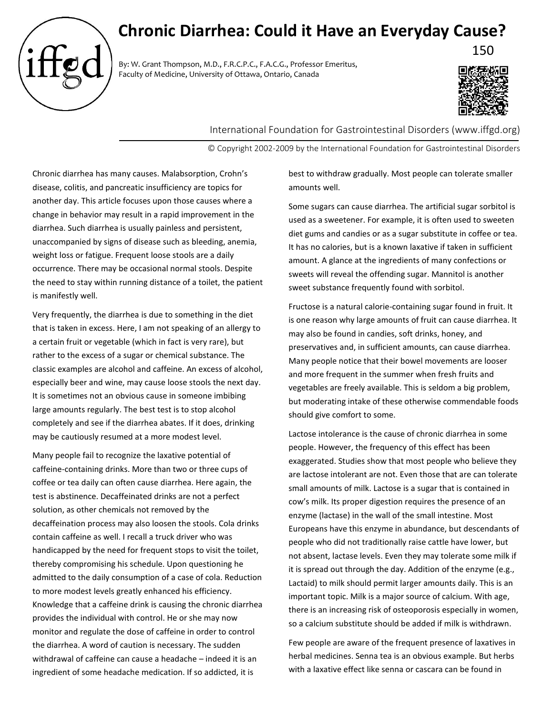# **Chronic Diarrhea: Could it Have an Everyday Cause?**



By: W. Grant Thompson, M.D., F.R.C.P.C., F.A.C.G., Professor Emeritus, Faculty of Medicine, University of Ottawa, Ontario, Canada



International Foundation for Gastrointestinal Disorders (www.iffgd.org)

© Copyright 2002-2009 by the International Foundation for Gastrointestinal Disorders

Chronic diarrhea has many causes. Malabsorption, Crohn's disease, colitis, and pancreatic insufficiency are topics for another day. This article focuses upon those causes where a change in behavior may result in a rapid improvement in the diarrhea. Such diarrhea is usually painless and persistent, unaccompanied by signs of disease such as bleeding, anemia, weight loss or fatigue. Frequent loose stools are a daily occurrence. There may be occasional normal stools. Despite the need to stay within running distance of a toilet, the patient is manifestly well.

Very frequently, the diarrhea is due to something in the diet that is taken in excess. Here, I am not speaking of an allergy to a certain fruit or vegetable (which in fact is very rare), but rather to the excess of a sugar or chemical substance. The classic examples are alcohol and caffeine. An excess of alcohol, especially beer and wine, may cause loose stools the next day. It is sometimes not an obvious cause in someone imbibing large amounts regularly. The best test is to stop alcohol completely and see if the diarrhea abates. If it does, drinking may be cautiously resumed at a more modest level.

Many people fail to recognize the laxative potential of caffeine-containing drinks. More than two or three cups of coffee or tea daily can often cause diarrhea. Here again, the test is abstinence. Decaffeinated drinks are not a perfect solution, as other chemicals not removed by the decaffeination process may also loosen the stools. Cola drinks contain caffeine as well. I recall a truck driver who was handicapped by the need for frequent stops to visit the toilet, thereby compromising his schedule. Upon questioning he admitted to the daily consumption of a case of cola. Reduction to more modest levels greatly enhanced his efficiency. Knowledge that a caffeine drink is causing the chronic diarrhea provides the individual with control. He or she may now monitor and regulate the dose of caffeine in order to control the diarrhea. A word of caution is necessary. The sudden withdrawal of caffeine can cause a headache – indeed it is an ingredient of some headache medication. If so addicted, it is

best to withdraw gradually. Most people can tolerate smaller amounts well.

Some sugars can cause diarrhea. The artificial sugar sorbitol is used as a sweetener. For example, it is often used to sweeten diet gums and candies or as a sugar substitute in coffee or tea. It has no calories, but is a known laxative if taken in sufficient amount. A glance at the ingredients of many confections or sweets will reveal the offending sugar. Mannitol is another sweet substance frequently found with sorbitol.

Fructose is a natural calorie-containing sugar found in fruit. It is one reason why large amounts of fruit can cause diarrhea. It may also be found in candies, soft drinks, honey, and preservatives and, in sufficient amounts, can cause diarrhea. Many people notice that their bowel movements are looser and more frequent in the summer when fresh fruits and vegetables are freely available. This is seldom a big problem, but moderating intake of these otherwise commendable foods should give comfort to some.

Lactose intolerance is the cause of chronic diarrhea in some people. However, the frequency of this effect has been exaggerated. Studies show that most people who believe they are lactose intolerant are not. Even those that are can tolerate small amounts of milk. Lactose is a sugar that is contained in cow's milk. Its proper digestion requires the presence of an enzyme (lactase) in the wall of the small intestine. Most Europeans have this enzyme in abundance, but descendants of people who did not traditionally raise cattle have lower, but not absent, lactase levels. Even they may tolerate some milk if it is spread out through the day. Addition of the enzyme (e.g., Lactaid) to milk should permit larger amounts daily. This is an important topic. Milk is a major source of calcium. With age, there is an increasing risk of osteoporosis especially in women, so a calcium substitute should be added if milk is withdrawn.

Few people are aware of the frequent presence of laxatives in herbal medicines. Senna tea is an obvious example. But herbs with a laxative effect like senna or cascara can be found in